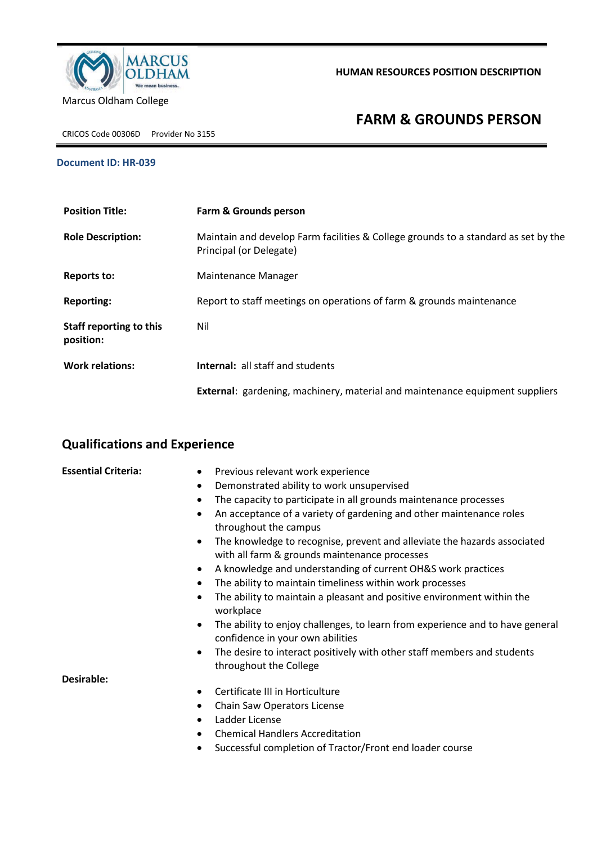

**HUMAN RESOURCES POSITION DESCRIPTION**

CRICOS Code 00306D Provider No 3155

## **FARM & GROUNDS PERSON**

## **Document ID: HR-039**

| <b>Position Title:</b>               | <b>Farm &amp; Grounds person</b>                                                                              |
|--------------------------------------|---------------------------------------------------------------------------------------------------------------|
| <b>Role Description:</b>             | Maintain and develop Farm facilities & College grounds to a standard as set by the<br>Principal (or Delegate) |
| <b>Reports to:</b>                   | Maintenance Manager                                                                                           |
| <b>Reporting:</b>                    | Report to staff meetings on operations of farm & grounds maintenance                                          |
| Staff reporting to this<br>position: | Nil                                                                                                           |
| <b>Work relations:</b>               | <b>Internal:</b> all staff and students                                                                       |
|                                      | <b>External:</b> gardening, machinery, material and maintenance equipment suppliers                           |

## **Qualifications and Experience**

| <b>Essential Criteria:</b> | Previous relevant work experience<br>$\bullet$                                                                                         |
|----------------------------|----------------------------------------------------------------------------------------------------------------------------------------|
|                            | Demonstrated ability to work unsupervised<br>$\bullet$                                                                                 |
|                            | The capacity to participate in all grounds maintenance processes<br>$\bullet$                                                          |
|                            | An acceptance of a variety of gardening and other maintenance roles<br>$\bullet$<br>throughout the campus                              |
|                            | The knowledge to recognise, prevent and alleviate the hazards associated<br>$\bullet$<br>with all farm & grounds maintenance processes |
|                            | A knowledge and understanding of current OH&S work practices<br>$\bullet$                                                              |
|                            | The ability to maintain timeliness within work processes<br>$\bullet$                                                                  |
|                            | The ability to maintain a pleasant and positive environment within the<br>$\bullet$<br>workplace                                       |
|                            | The ability to enjoy challenges, to learn from experience and to have general<br>$\bullet$<br>confidence in your own abilities         |
|                            | The desire to interact positively with other staff members and students<br>٠<br>throughout the College                                 |
| Desirable:                 |                                                                                                                                        |
|                            | Certificate III in Horticulture<br>٠                                                                                                   |
|                            | Chain Saw Operators License<br>٠                                                                                                       |
|                            | Ladder License<br>$\bullet$                                                                                                            |
|                            | <b>Chemical Handlers Accreditation</b><br>$\bullet$                                                                                    |
|                            | Successful completion of Tractor/Front end loader course<br>٠                                                                          |
|                            |                                                                                                                                        |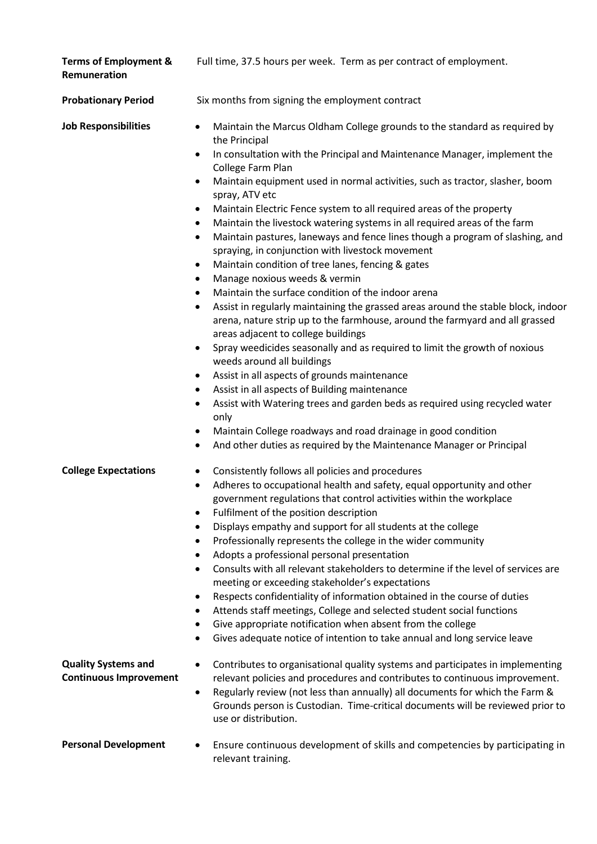| <b>Terms of Employment &amp;</b><br>Remuneration          | Full time, 37.5 hours per week. Term as per contract of employment.                                                                                                                                                                                                                                                                                                                                                                                                                                                                                                                                                                                                                                                                                                                                                                                                                                                                                                                                                                                                                                                                                                                                                                                                                                                                                                                                                                                                                                                                                                                                           |
|-----------------------------------------------------------|---------------------------------------------------------------------------------------------------------------------------------------------------------------------------------------------------------------------------------------------------------------------------------------------------------------------------------------------------------------------------------------------------------------------------------------------------------------------------------------------------------------------------------------------------------------------------------------------------------------------------------------------------------------------------------------------------------------------------------------------------------------------------------------------------------------------------------------------------------------------------------------------------------------------------------------------------------------------------------------------------------------------------------------------------------------------------------------------------------------------------------------------------------------------------------------------------------------------------------------------------------------------------------------------------------------------------------------------------------------------------------------------------------------------------------------------------------------------------------------------------------------------------------------------------------------------------------------------------------------|
| <b>Probationary Period</b>                                | Six months from signing the employment contract                                                                                                                                                                                                                                                                                                                                                                                                                                                                                                                                                                                                                                                                                                                                                                                                                                                                                                                                                                                                                                                                                                                                                                                                                                                                                                                                                                                                                                                                                                                                                               |
| <b>Job Responsibilities</b>                               | Maintain the Marcus Oldham College grounds to the standard as required by<br>$\bullet$<br>the Principal<br>In consultation with the Principal and Maintenance Manager, implement the<br>$\bullet$<br>College Farm Plan<br>Maintain equipment used in normal activities, such as tractor, slasher, boom<br>$\bullet$<br>spray, ATV etc<br>Maintain Electric Fence system to all required areas of the property<br>$\bullet$<br>Maintain the livestock watering systems in all required areas of the farm<br>$\bullet$<br>Maintain pastures, laneways and fence lines though a program of slashing, and<br>$\bullet$<br>spraying, in conjunction with livestock movement<br>Maintain condition of tree lanes, fencing & gates<br>$\bullet$<br>Manage noxious weeds & vermin<br>$\bullet$<br>Maintain the surface condition of the indoor arena<br>$\bullet$<br>Assist in regularly maintaining the grassed areas around the stable block, indoor<br>$\bullet$<br>arena, nature strip up to the farmhouse, around the farmyard and all grassed<br>areas adjacent to college buildings<br>Spray weedicides seasonally and as required to limit the growth of noxious<br>$\bullet$<br>weeds around all buildings<br>Assist in all aspects of grounds maintenance<br>$\bullet$<br>Assist in all aspects of Building maintenance<br>$\bullet$<br>Assist with Watering trees and garden beds as required using recycled water<br>$\bullet$<br>only<br>Maintain College roadways and road drainage in good condition<br>$\bullet$<br>And other duties as required by the Maintenance Manager or Principal<br>$\bullet$ |
| <b>College Expectations</b><br><b>Quality Systems and</b> | Consistently follows all policies and procedures<br>$\bullet$<br>Adheres to occupational health and safety, equal opportunity and other<br>$\bullet$<br>government regulations that control activities within the workplace<br>Fulfilment of the position description<br>٠<br>Displays empathy and support for all students at the college<br>٠<br>Professionally represents the college in the wider community<br>$\bullet$<br>Adopts a professional personal presentation<br>٠<br>Consults with all relevant stakeholders to determine if the level of services are<br>meeting or exceeding stakeholder's expectations<br>Respects confidentiality of information obtained in the course of duties<br>$\bullet$<br>Attends staff meetings, College and selected student social functions<br>٠<br>Give appropriate notification when absent from the college<br>Gives adequate notice of intention to take annual and long service leave<br>Contributes to organisational quality systems and participates in implementing                                                                                                                                                                                                                                                                                                                                                                                                                                                                                                                                                                                   |
| <b>Continuous Improvement</b>                             | relevant policies and procedures and contributes to continuous improvement.<br>Regularly review (not less than annually) all documents for which the Farm &<br>$\bullet$<br>Grounds person is Custodian. Time-critical documents will be reviewed prior to<br>use or distribution.                                                                                                                                                                                                                                                                                                                                                                                                                                                                                                                                                                                                                                                                                                                                                                                                                                                                                                                                                                                                                                                                                                                                                                                                                                                                                                                            |
| <b>Personal Development</b>                               | Ensure continuous development of skills and competencies by participating in<br>relevant training.                                                                                                                                                                                                                                                                                                                                                                                                                                                                                                                                                                                                                                                                                                                                                                                                                                                                                                                                                                                                                                                                                                                                                                                                                                                                                                                                                                                                                                                                                                            |